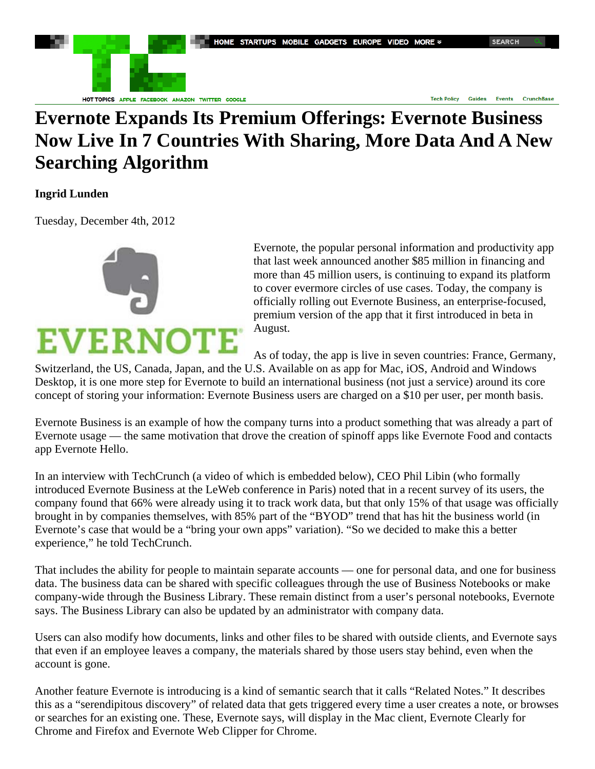HOME STARTUPS MOBILE GADGETS EUROPE VIDEO MORE >



HOT TOPICS APPLE FACEBOOK AMAZON TWITTER GOOGLE

**Tech Policy Guides** Events **CrunchBase** 

## **Evernote Expands Its Premium Offerings: Evernote Business Now Live In 7 Countries With Sharing, More Data And A New Searching Algorithm**

## **Ingrid Lunden**

Tuesday, December 4th, 2012



Evernote, the popular personal information and productivity app that last week announced another \$85 million in financing and more than 45 million users, is continuing to expand its platform to cover evermore circles of use cases. Today, the company is officially rolling out Evernote Business, an enterprise-focused, premium version of the app that it first introduced in beta in August.

As of today, the app is live in seven countries: France, Germany,

Switzerland, the US, Canada, Japan, and the U.S. Available on as app for Mac, iOS, Android and Windows Desktop, it is one more step for Evernote to build an international business (not just a service) around its core concept of storing your information: Evernote Business users are charged on a \$10 per user, per month basis.

Evernote Business is an example of how the company turns into a product something that was already a part of Evernote usage — the same motivation that drove the creation of spinoff apps like Evernote Food and contacts app Evernote Hello.

In an interview with TechCrunch (a video of which is embedded below), CEO Phil Libin (who formally introduced Evernote Business at the LeWeb conference in Paris) noted that in a recent survey of its users, the company found that 66% were already using it to track work data, but that only 15% of that usage was officially brought in by companies themselves, with 85% part of the "BYOD" trend that has hit the business world (in Evernote's case that would be a "bring your own apps" variation). "So we decided to make this a better experience," he told TechCrunch.

That includes the ability for people to maintain separate accounts — one for personal data, and one for business data. The business data can be shared with specific colleagues through the use of Business Notebooks or make company-wide through the Business Library. These remain distinct from a user's personal notebooks, Evernote says. The Business Library can also be updated by an administrator with company data.

Users can also modify how documents, links and other files to be shared with outside clients, and Evernote says that even if an employee leaves a company, the materials shared by those users stay behind, even when the account is gone.

Another feature Evernote is introducing is a kind of semantic search that it calls "Related Notes." It describes this as a "serendipitous discovery" of related data that gets triggered every time a user creates a note, or browses or searches for an existing one. These, Evernote says, will display in the Mac client, Evernote Clearly for Chrome and Firefox and Evernote Web Clipper for Chrome.